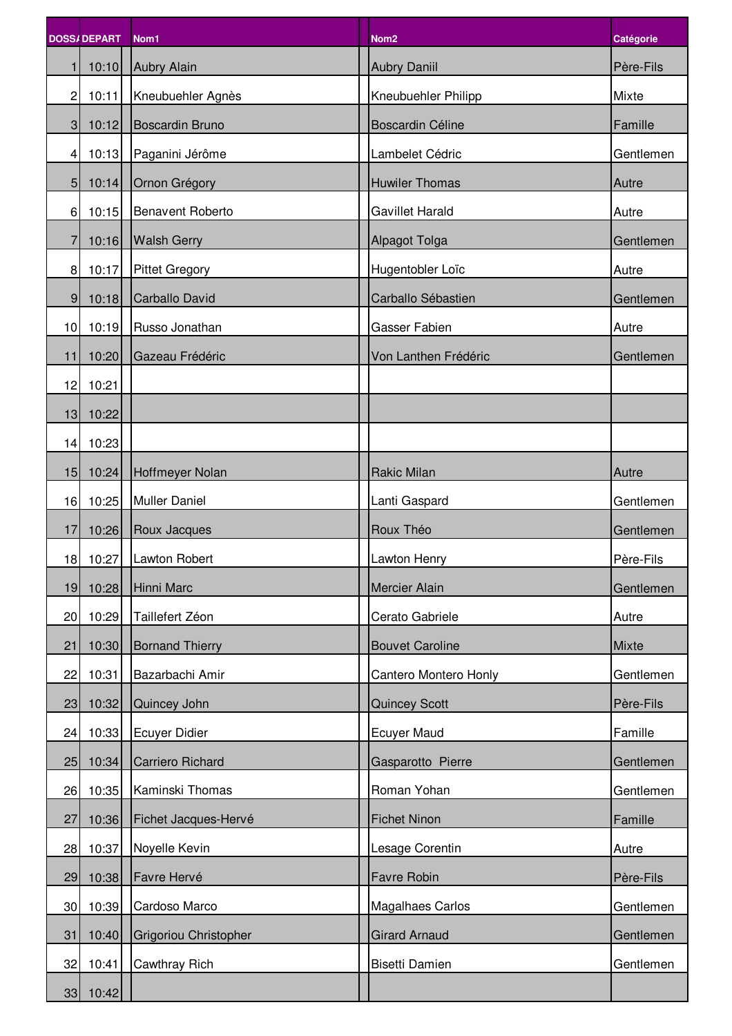|                 | <b>DOSS/DEPART</b> | Nom1                   | Nom <sub>2</sub>        | <b>Catégorie</b> |
|-----------------|--------------------|------------------------|-------------------------|------------------|
| $\mathbf{1}$    | 10:10              | Aubry Alain            | <b>Aubry Daniil</b>     | Père-Fils        |
| $\overline{c}$  | 10:11              | Kneubuehler Agnès      | Kneubuehler Philipp     | Mixte            |
| 3 <sup>1</sup>  | 10:12              | Boscardin Bruno        | <b>Boscardin Céline</b> | Famille          |
| $\overline{4}$  | 10:13              | Paganini Jérôme        | Lambelet Cédric         | Gentlemen        |
| 5 <sub>l</sub>  | 10:14              | Ornon Grégory          | <b>Huwiler Thomas</b>   | Autre            |
| 6               | 10:15              | Benavent Roberto       | <b>Gavillet Harald</b>  | Autre            |
| 7               | 10:16              | <b>Walsh Gerry</b>     | <b>Alpagot Tolga</b>    | Gentlemen        |
| 8 <sup>1</sup>  | 10:17              | <b>Pittet Gregory</b>  | Hugentobler Loïc        | Autre            |
| 9 <sub>l</sub>  | 10:18              | Carballo David         | Carballo Sébastien      | Gentlemen        |
| 10              | 10:19              | Russo Jonathan         | <b>Gasser Fabien</b>    | Autre            |
| 11              | 10:20              | Gazeau Frédéric        | Von Lanthen Frédéric    | Gentlemen        |
| 12              | 10:21              |                        |                         |                  |
| 13 <sup>1</sup> | 10:22              |                        |                         |                  |
|                 | 14 10:23           |                        |                         |                  |
|                 | 15 10:24           | Hoffmeyer Nolan        | <b>Rakic Milan</b>      | Autre            |
| 16              | 10:25              | <b>Muller Daniel</b>   | Lanti Gaspard           | Gentlemen        |
| 17              | 10:26              | Roux Jacques           | Roux Théo               | Gentlemen        |
|                 | 18 10:27           | Lawton Robert          | Lawton Henry            | Père-Fils        |
| 19              | 10:28              | Hinni Marc             | <b>Mercier Alain</b>    | Gentlemen        |
| 20              | 10:29              | Taillefert Zéon        | Cerato Gabriele         | Autre            |
| 21              | 10:30              | <b>Bornand Thierry</b> | <b>Bouvet Caroline</b>  | Mixte            |
| 22              | 10:31              | Bazarbachi Amir        | Cantero Montero Honly   | Gentlemen        |
| 23              | 10:32              | Quincey John           | <b>Quincey Scott</b>    | Père-Fils        |
| 24              | 10:33              | Ecuyer Didier          | <b>Ecuyer Maud</b>      | Famille          |
| 25              | 10:34              | Carriero Richard       | Gasparotto Pierre       | Gentlemen        |
| 26              | 10:35              | Kaminski Thomas        | Roman Yohan             | Gentlemen        |
| 27              | 10:36              | Fichet Jacques-Hervé   | <b>Fichet Ninon</b>     | Famille          |
| 28              | 10:37              | Noyelle Kevin          | Lesage Corentin         | Autre            |
| 29              | 10:38              | Favre Hervé            | Favre Robin             | Père-Fils        |
| 30 <sup>1</sup> | 10:39              | Cardoso Marco          | Magalhaes Carlos        | Gentlemen        |
| 31              | 10:40              | Grigoriou Christopher  | <b>Girard Arnaud</b>    | Gentlemen        |
| 32              | 10:41              | <b>Cawthray Rich</b>   | Bisetti Damien          | Gentlemen        |
|                 | 33 10:42           |                        |                         |                  |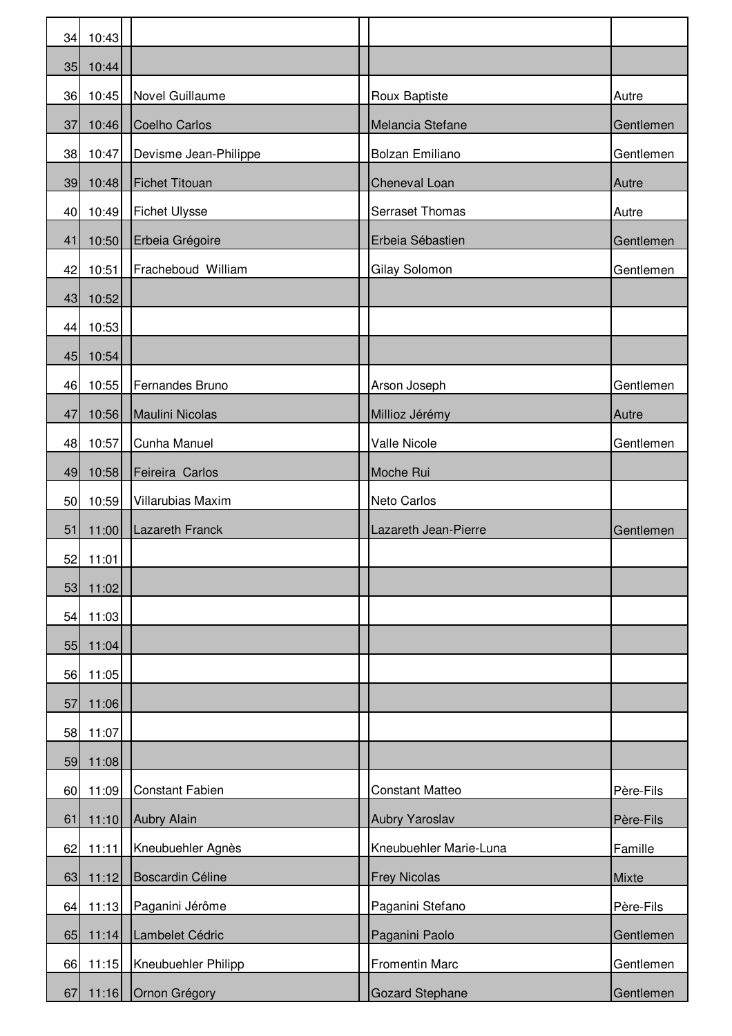| 34 | 10:43      |                        |                        |           |
|----|------------|------------------------|------------------------|-----------|
| 35 | 10:44      |                        |                        |           |
| 36 | 10:45      | Novel Guillaume        | Roux Baptiste          | Autre     |
| 37 | 10:46      | Coelho Carlos          | Melancia Stefane       | Gentlemen |
| 38 | 10:47      | Devisme Jean-Philippe  | <b>Bolzan Emiliano</b> | Gentlemen |
| 39 | 10:48      | Fichet Titouan         | Cheneval Loan          | Autre     |
| 40 | 10:49      | <b>Fichet Ulysse</b>   | <b>Serraset Thomas</b> | Autre     |
| 41 | 10:50      | Erbeia Grégoire        | Erbeia Sébastien       | Gentlemen |
| 42 | 10:51      | Fracheboud William     | Gilay Solomon          | Gentlemen |
| 43 | 10:52      |                        |                        |           |
| 44 | 10:53      |                        |                        |           |
| 45 | 10:54      |                        |                        |           |
| 46 | 10:55      | Fernandes Bruno        | Arson Joseph           | Gentlemen |
| 47 | 10:56      | Maulini Nicolas        | Millioz Jérémy         | Autre     |
| 48 | 10:57      | Cunha Manuel           | <b>Valle Nicole</b>    | Gentlemen |
| 49 | 10:58      | Feireira Carlos        | Moche Rui              |           |
| 50 | 10:59      | Villarubias Maxim      | Neto Carlos            |           |
| 51 | 11:00      | Lazareth Franck        | Lazareth Jean-Pierre   | Gentlemen |
| 52 | 11:01      |                        |                        |           |
| 53 | 11:02      |                        |                        |           |
|    | 54 11:03   |                        |                        |           |
| 55 | 11:04      |                        |                        |           |
| 56 | 11:05      |                        |                        |           |
| 57 | 11:06      |                        |                        |           |
| 58 | 11:07      |                        |                        |           |
| 59 | 11:08      |                        |                        |           |
| 60 | 11:09      | <b>Constant Fabien</b> | <b>Constant Matteo</b> | Père-Fils |
| 61 | 11:10      | Aubry Alain            | Aubry Yaroslav         | Père-Fils |
| 62 | 11:11      | Kneubuehler Agnès      | Kneubuehler Marie-Luna | Famille   |
| 63 | 11:12      | Boscardin Céline       | <b>Frey Nicolas</b>    | Mixte     |
| 64 | 11:13      | Paganini Jérôme        | Paganini Stefano       | Père-Fils |
|    | 65 11:14   | Lambelet Cédric        | Paganini Paolo         | Gentlemen |
|    | 66 11:15   | Kneubuehler Philipp    | <b>Fromentin Marc</b>  | Gentlemen |
|    | $67$ 11:16 | Ornon Grégory          | <b>Gozard Stephane</b> | Gentlemen |